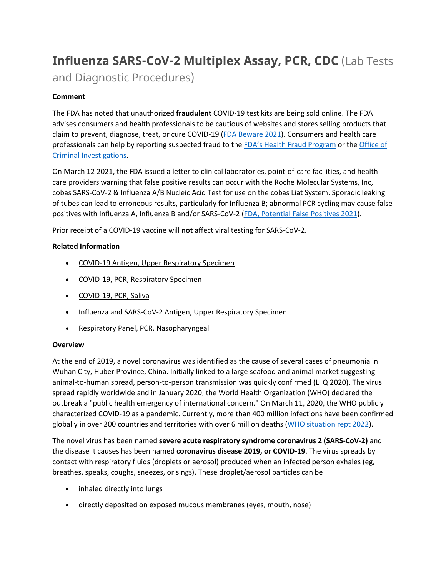# **Influenza SARS-CoV-2 Multiplex Assay, PCR, CDC** (Lab Tests

and Diagnostic Procedures)

# **Comment**

The FDA has noted that unauthorized **fraudulent** COVID-19 test kits are being sold online. The FDA advises consumers and health professionals to be cautious of websites and stores selling products that claim to prevent, diagnose, treat, or cure COVID-19 [\(FDA Beware 2021\)](https://www.fda.gov/consumers/consumer-updates/beware-fraudulent-coronavirus-tests-vaccines-and-treatments?utm_campaign=FDA%20MedWatch%20-%20Fraudulent%20Coronavirus%20Tests%2C%20Vaccines%20and%20Treatments&utm_medium=email&utm_source=Eloqua). Consumers and health care professionals can help by reporting suspected fraud to the [FDA's Health Fraud Program](https://www.fda.gov/safety/report-problem-fda/reporting-unlawful-sales-medical-products-internet) or the [Office of](https://www.accessdata.fda.gov/scripts/email/oc/oci/contact.cfm)  [Criminal Investigations.](https://www.accessdata.fda.gov/scripts/email/oc/oci/contact.cfm)

On March 12 2021, the FDA issued a letter to clinical laboratories, point-of-care facilities, and health care providers warning that false positive results can occur with the Roche Molecular Systems, Inc, cobas SARS-CoV-2 & Influenza A/B Nucleic Acid Test for use on the cobas Liat System. Sporadic leaking of tubes can lead to erroneous results, particularly for Influenza B; abnormal PCR cycling may cause false positives with Influenza A, Influenza B and/or SARS-CoV-2 [\(FDA, Potential False Positives 2021\)](https://www.fda.gov/medical-devices/letters-health-care-providers/potential-false-results-roche-molecular-systems-inc-cobas-sars-cov-2-influenza-test-use-cobas-liat).

Prior receipt of a COVID-19 vaccine will **not** affect viral testing for SARS-CoV-2.

# **Related Information**

- [COVID-19 Antigen, Upper Respiratory Specimen](https://online.lexi.com/lco/action/doc/retrieve/docid/lthdph/6947693)
- [COVID-19, PCR, Respiratory Specimen](https://online.lexi.com/lco/action/doc/retrieve/docid/lthdph/6920837)
- [COVID-19, PCR, Saliva](https://online.lexi.com/lco/action/doc/retrieve/docid/lthdph/6958856)
- [Influenza and SARS-CoV-2 Antigen, Upper Respiratory Specimen](https://online.lexi.com/lco/action/doc/retrieve/docid/lthdph/7063859)
- [Respiratory Panel, PCR, Nasopharyngeal](https://online.lexi.com/lco/action/doc/retrieve/docid/lthdph/7106510)

## **Overview**

At the end of 2019, a novel coronavirus was identified as the cause of several cases of pneumonia in Wuhan City, Huber Province, China. Initially linked to a large seafood and animal market suggesting animal-to-human spread, person-to-person transmission was quickly confirmed (Li Q 2020). The virus spread rapidly worldwide and in January 2020, the World Health Organization (WHO) declared the outbreak a "public health emergency of international concern." On March 11, 2020, the WHO publicly characterized COVID-19 as a pandemic. Currently, more than 400 million infections have been confirmed globally in over 200 countries and territories with over 6 million deaths [\(WHO situation rept 2022\)](https://www.who.int/emergencies/diseases/novel-coronavirus-2019/situation-reports).

The novel virus has been named **severe acute respiratory syndrome coronavirus 2 (SARS-CoV-2)** and the disease it causes has been named **coronavirus disease 2019, or COVID-19**. The virus spreads by contact with respiratory fluids (droplets or aerosol) produced when an infected person exhales (eg, breathes, speaks, coughs, sneezes, or sings). These droplet/aerosol particles can be

- inhaled directly into lungs
- directly deposited on exposed mucous membranes (eyes, mouth, nose)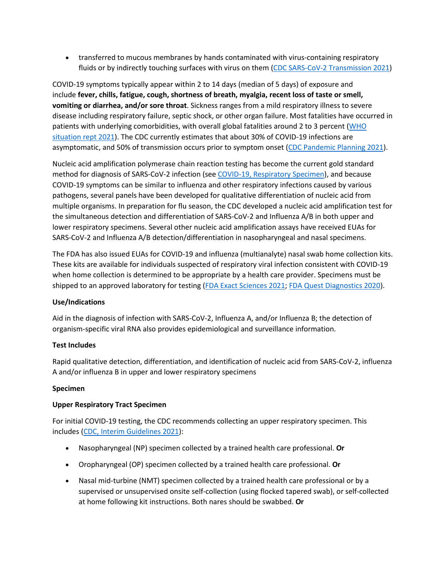• transferred to mucous membranes by hands contaminated with virus-containing respiratory fluids or by indirectly touching surfaces with virus on them [\(CDC SARS-CoV-2 Transmission 2021\)](https://www.cdc.gov/coronavirus/2019-ncov/science/science-briefs/sars-cov-2-transmission.html)

COVID-19 symptoms typically appear within 2 to 14 days (median of 5 days) of exposure and include **fever, chills, fatigue, cough, shortness of breath, myalgia, recent loss of taste or smell, vomiting or diarrhea, and/or sore throat**. Sickness ranges from a mild respiratory illness to severe disease including respiratory failure, septic shock, or other organ failure. Most fatalities have occurred in patients with underlying comorbidities, with overall global fatalities around 2 to 3 percent [\(WHO](https://www.who.int/emergencies/diseases/novel-coronavirus-2019/situation-reports)  [situation rept 2021\)](https://www.who.int/emergencies/diseases/novel-coronavirus-2019/situation-reports). The CDC currently estimates that about 30% of COVID-19 infections are asymptomatic, and 50% of transmission occurs prior to symptom onset [\(CDC Pandemic Planning 2021\)](https://www.cdc.gov/coronavirus/2019-ncov/hcp/planning-scenarios.html).

Nucleic acid amplification polymerase chain reaction testing has become the current gold standard method for diagnosis of SARS-CoV-2 infection (see [COVID-19, Respiratory Specimen\)](https://online.lexi.com/lco/action/search/globalid/869331), and because COVID-19 symptoms can be similar to influenza and other respiratory infections caused by various pathogens, several panels have been developed for qualitative differentiation of nucleic acid from multiple organisms. In preparation for flu season, the CDC developed a nucleic acid amplification test for the simultaneous detection and differentiation of SARS-CoV-2 and Influenza A/B in both upper and lower respiratory specimens. Several other nucleic acid amplification assays have received EUAs for SARS-CoV-2 and Influenza A/B detection/differentiation in nasopharyngeal and nasal specimens.

The FDA has also issued EUAs for COVID-19 and influenza (multianalyte) nasal swab home collection kits. These kits are available for individuals suspected of respiratory viral infection consistent with COVID-19 when home collection is determined to be appropriate by a health care provider. Specimens must be shipped to an approved laboratory for testing [\(FDA Exact Sciences 2021;](https://www.fda.gov/media/150558/download) [FDA Quest Diagnostics 2020\)](https://www.fda.gov/media/144180/download).

#### **Use/Indications**

Aid in the diagnosis of infection with SARS-CoV-2, Influenza A, and/or Influenza B; the detection of organism-specific viral RNA also provides epidemiological and surveillance information.

#### **Test Includes**

Rapid qualitative detection, differentiation, and identification of nucleic acid from SARS-CoV-2, influenza A and/or influenza B in upper and lower respiratory specimens

#### **Specimen**

## **Upper Respiratory Tract Specimen**

For initial COVID-19 testing, the CDC recommends collecting an upper respiratory specimen. This includes [\(CDC, Interim Guidelines 2021\)](https://www.cdc.gov/coronavirus/2019-nCoV/lab/guidelines-clinical-specimens.html):

- Nasopharyngeal (NP) specimen collected by a trained health care professional. **Or**
- Oropharyngeal (OP) specimen collected by a trained health care professional. **Or**
- Nasal mid-turbine (NMT) specimen collected by a trained health care professional or by a supervised or unsupervised onsite self-collection (using flocked tapered swab), or self-collected at home following kit instructions. Both nares should be swabbed. **Or**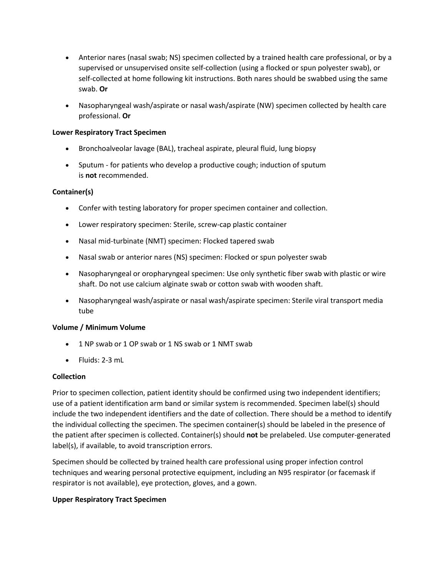- Anterior nares (nasal swab; NS) specimen collected by a trained health care professional, or by a supervised or unsupervised onsite self-collection (using a flocked or spun polyester swab), or self-collected at home following kit instructions. Both nares should be swabbed using the same swab. **Or**
- Nasopharyngeal wash/aspirate or nasal wash/aspirate (NW) specimen collected by health care professional. **Or**

#### **Lower Respiratory Tract Specimen**

- Bronchoalveolar lavage (BAL), tracheal aspirate, pleural fluid, lung biopsy
- Sputum for patients who develop a productive cough; induction of sputum is **not** recommended.

### **Container(s)**

- Confer with testing laboratory for proper specimen container and collection.
- Lower respiratory specimen: Sterile, screw-cap plastic container
- Nasal mid-turbinate (NMT) specimen: Flocked tapered swab
- Nasal swab or anterior nares (NS) specimen: Flocked or spun polyester swab
- Nasopharyngeal or oropharyngeal specimen: Use only synthetic fiber swab with plastic or wire shaft. Do not use calcium alginate swab or cotton swab with wooden shaft.
- Nasopharyngeal wash/aspirate or nasal wash/aspirate specimen: Sterile viral transport media tube

#### **Volume / Minimum Volume**

- 1 NP swab or 1 OP swab or 1 NS swab or 1 NMT swab
- Fluids: 2-3 mL

#### **Collection**

Prior to specimen collection, patient identity should be confirmed using two independent identifiers; use of a patient identification arm band or similar system is recommended. Specimen label(s) should include the two independent identifiers and the date of collection. There should be a method to identify the individual collecting the specimen. The specimen container(s) should be labeled in the presence of the patient after specimen is collected. Container(s) should **not** be prelabeled. Use computer-generated label(s), if available, to avoid transcription errors.

Specimen should be collected by trained health care professional using proper infection control techniques and wearing personal protective equipment, including an N95 respirator (or facemask if respirator is not available), eye protection, gloves, and a gown.

#### **Upper Respiratory Tract Specimen**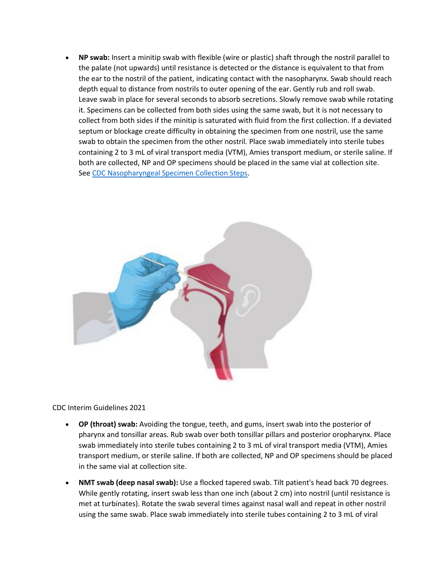• **NP swab:** Insert a minitip swab with flexible (wire or plastic) shaft through the nostril parallel to the palate (not upwards) until resistance is detected or the distance is equivalent to that from the ear to the nostril of the patient, indicating contact with the nasopharynx. Swab should reach depth equal to distance from nostrils to outer opening of the ear. Gently rub and roll swab. Leave swab in place for several seconds to absorb secretions. Slowly remove swab while rotating it. Specimens can be collected from both sides using the same swab, but it is not necessary to collect from both sides if the minitip is saturated with fluid from the first collection. If a deviated septum or blockage create difficulty in obtaining the specimen from one nostril, use the same swab to obtain the specimen from the other nostril. Place swab immediately into sterile tubes containing 2 to 3 mL of viral transport media (VTM), Amies transport medium, or sterile saline. If both are collected, NP and OP specimens should be placed in the same vial at collection site. See [CDC Nasopharyngeal Specimen Collection Steps.](https://www.cdc.gov/coronavirus/2019-ncov/downloads/lab/NP_Specimen_Collection_Infographic_FINAL_508.pdf)



#### CDC Interim Guidelines 2021

- **OP (throat) swab:** Avoiding the tongue, teeth, and gums, insert swab into the posterior of pharynx and tonsillar areas. Rub swab over both tonsillar pillars and posterior oropharynx. Place swab immediately into sterile tubes containing 2 to 3 mL of viral transport media (VTM), Amies transport medium, or sterile saline. If both are collected, NP and OP specimens should be placed in the same vial at collection site.
- **NMT swab (deep nasal swab):** Use a flocked tapered swab. Tilt patient's head back 70 degrees. While gently rotating, insert swab less than one inch (about 2 cm) into nostril (until resistance is met at turbinates). Rotate the swab several times against nasal wall and repeat in other nostril using the same swab. Place swab immediately into sterile tubes containing 2 to 3 mL of viral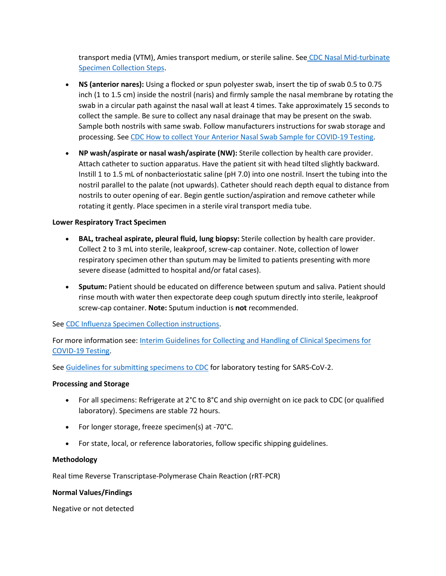transport media (VTM), Amies transport medium, or sterile saline. See [CDC Nasal Mid-turbinate](https://www.cdc.gov/coronavirus/2019-ncov/downloads/lab/NMT_Specimen_Collection_Infographic_FINAL_508.pdf)  [Specimen Collection Steps.](https://www.cdc.gov/coronavirus/2019-ncov/downloads/lab/NMT_Specimen_Collection_Infographic_FINAL_508.pdf)

- **NS (anterior nares):** Using a flocked or spun polyester swab, insert the tip of swab 0.5 to 0.75 inch (1 to 1.5 cm) inside the nostril (naris) and firmly sample the nasal membrane by rotating the swab in a circular path against the nasal wall at least 4 times. Take approximately 15 seconds to collect the sample. Be sure to collect any nasal drainage that may be present on the swab. Sample both nostrils with same swab. Follow manufacturers instructions for swab storage and processing. See [CDC How to collect Your Anterior Nasal Swab Sample for COVID-19 Testing.](https://www.cdc.gov/coronavirus/2019-ncov/downloads/community/COVID-19-anterior-self-swab-testing-center.pdf)
- **NP wash/aspirate or nasal wash/aspirate (NW):** Sterile collection by health care provider. Attach catheter to suction apparatus. Have the patient sit with head tilted slightly backward. Instill 1 to 1.5 mL of nonbacteriostatic saline (pH 7.0) into one nostril. Insert the tubing into the nostril parallel to the palate (not upwards). Catheter should reach depth equal to distance from nostrils to outer opening of ear. Begin gentle suction/aspiration and remove catheter while rotating it gently. Place specimen in a sterile viral transport media tube.

#### **Lower Respiratory Tract Specimen**

- **BAL, tracheal aspirate, pleural fluid, lung biopsy:** Sterile collection by health care provider. Collect 2 to 3 mL into sterile, leakproof, screw-cap container. Note, collection of lower respiratory specimen other than sputum may be limited to patients presenting with more severe disease (admitted to hospital and/or fatal cases).
- **Sputum:** Patient should be educated on difference between sputum and saliva. Patient should rinse mouth with water then expectorate deep cough sputum directly into sterile, leakproof screw-cap container. **Note:** Sputum induction is **not** recommended.

See [CDC Influenza Specimen Collection instructions.](https://www.cdc.gov/flu/pdf/professionals/flu-specimen-collection-poster.pdf)

For more information see: [Interim Guidelines for Collecting and Handling of Clinical Specimens for](https://www.cdc.gov/coronavirus/2019-ncov/lab/guidelines-clinical-specimens.html?CDC_AA_refVal=https%3A%2F%2Fwww.cdc.gov%2Fcoronavirus%2F2019-ncov%2Fguidelines-clinical-specimens.html)  [COVID-19 Testing.](https://www.cdc.gov/coronavirus/2019-ncov/lab/guidelines-clinical-specimens.html?CDC_AA_refVal=https%3A%2F%2Fwww.cdc.gov%2Fcoronavirus%2F2019-ncov%2Fguidelines-clinical-specimens.html)

See [Guidelines for submitting specimens to CDC](https://www.cdc.gov/coronavirus/2019-ncov/downloads/COVID-19-Specimen-Submission-Guidance.pdf) for laboratory testing for SARS-CoV-2.

#### **Processing and Storage**

- For all specimens: Refrigerate at 2°C to 8°C and ship overnight on ice pack to CDC (or qualified laboratory). Specimens are stable 72 hours.
- For longer storage, freeze specimen(s) at -70°C.
- For state, local, or reference laboratories, follow specific shipping guidelines.

#### **Methodology**

Real time Reverse Transcriptase-Polymerase Chain Reaction (rRT-PCR)

#### **Normal Values/Findings**

Negative or not detected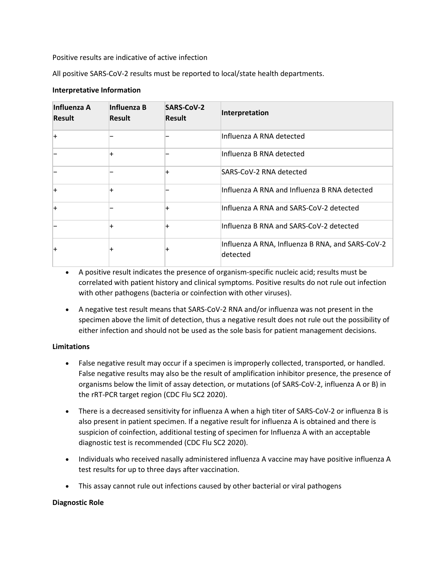Positive results are indicative of active infection

All positive SARS-CoV-2 results must be reported to local/state health departments.

#### **Interpretative Information**

| Influenza A<br><b>Result</b> | Influenza B<br><b>Result</b> | <b>SARS-CoV-2</b><br><b>Result</b> | Interpretation                                               |
|------------------------------|------------------------------|------------------------------------|--------------------------------------------------------------|
| ∣∓                           |                              |                                    | Influenza A RNA detected                                     |
|                              | +                            |                                    | Influenza B RNA detected                                     |
|                              |                              | $\ddot{}$                          | SARS-CoV-2 RNA detected                                      |
| $\pm$                        | $\ddot{}$                    |                                    | Influenza A RNA and Influenza B RNA detected                 |
| ∣∓                           |                              | $\ddot{}$                          | Influenza A RNA and SARS-CoV-2 detected                      |
|                              | $\ddot{}$                    | $\ddot{}$                          | Influenza B RNA and SARS-CoV-2 detected                      |
| $\pm$                        |                              | $\pm$                              | Influenza A RNA, Influenza B RNA, and SARS-CoV-2<br>detected |

- A positive result indicates the presence of organism-specific nucleic acid; results must be correlated with patient history and clinical symptoms. Positive results do not rule out infection with other pathogens (bacteria or coinfection with other viruses).
- A negative test result means that SARS-CoV-2 RNA and/or influenza was not present in the specimen above the limit of detection, thus a negative result does not rule out the possibility of either infection and should not be used as the sole basis for patient management decisions.

#### **Limitations**

- False negative result may occur if a specimen is improperly collected, transported, or handled. False negative results may also be the result of amplification inhibitor presence, the presence of organisms below the limit of assay detection, or mutations (of SARS-CoV-2, influenza A or B) in the rRT-PCR target region (CDC Flu SC2 2020).
- There is a decreased sensitivity for influenza A when a high titer of SARS-CoV-2 or influenza B is also present in patient specimen. If a negative result for influenza A is obtained and there is suspicion of coinfection, additional testing of specimen for Influenza A with an acceptable diagnostic test is recommended (CDC Flu SC2 2020).
- Individuals who received nasally administered influenza A vaccine may have positive influenza A test results for up to three days after vaccination.
- This assay cannot rule out infections caused by other bacterial or viral pathogens

#### **Diagnostic Role**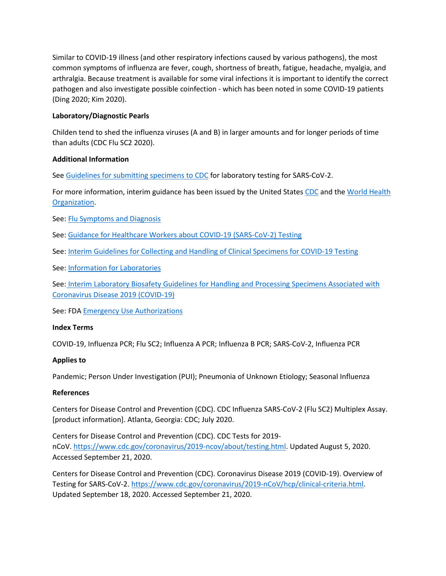Similar to COVID-19 illness (and other respiratory infections caused by various pathogens), the most common symptoms of influenza are fever, cough, shortness of breath, fatigue, headache, myalgia, and arthralgia. Because treatment is available for some viral infections it is important to identify the correct pathogen and also investigate possible coinfection - which has been noted in some COVID-19 patients (Ding 2020; Kim 2020).

#### **Laboratory/Diagnostic Pearls**

Childen tend to shed the influenza viruses (A and B) in larger amounts and for longer periods of time than adults (CDC Flu SC2 2020).

#### **Additional Information**

See [Guidelines for submitting specimens to CDC](https://www.cdc.gov/coronavirus/2019-ncov/downloads/COVID-19-Specimen-Submission-Guidance.pdf) for laboratory testing for SARS-CoV-2.

For more information, interim guidance has been issued by the United States [CDC](https://www.cdc.gov/coronavirus/2019-ncov/index.html) and the [World Health](https://www.who.int/emergencies/diseases/novel-coronavirus-2019)  [Organization.](https://www.who.int/emergencies/diseases/novel-coronavirus-2019)

See: [Flu Symptoms and Diagnosis](https://www.cdc.gov/flu/symptoms/index.html)

See: [Guidance for Healthcare Workers about COVID-19 \(SARS-CoV-2\) Testing](https://www.cdc.gov/coronavirus/2019-ncov/hcp/testing.html)

See: [Interim Guidelines for Collecting and Handling of Clinical Specimens for COVID-19 Testing](https://www.cdc.gov/coronavirus/2019-nCoV/lab/guidelines-clinical-specimens.html)

See: [Information for Laboratories](https://www.cdc.gov/coronavirus/2019-ncov/lab/index.html?CDC_AA_refVal=https%3A%2F%2Fwww.cdc.gov%2Fcoronavirus%2F2019-ncov%2Fguidance-laboratories.html)

See: [Interim Laboratory Biosafety Guidelines for Handling and Processing Specimens Associated with](https://www.cdc.gov/coronavirus/2019-ncov/lab/lab-biosafety-guidelines.html?CDC_AA_refVal=https%3A%2F%2Fwww.cdc.gov%2Fcoronavirus%2F2019-ncov%2Flab-biosafety-guidelines.html)  [Coronavirus Disease 2019 \(COVID-19\)](https://www.cdc.gov/coronavirus/2019-ncov/lab/lab-biosafety-guidelines.html?CDC_AA_refVal=https%3A%2F%2Fwww.cdc.gov%2Fcoronavirus%2F2019-ncov%2Flab-biosafety-guidelines.html)

See: FDA [Emergency Use Authorizations](https://www.fda.gov/emergency-preparedness-and-response/mcm-legal-regulatory-and-policy-framework/emergency-use-authorization)

#### **Index Terms**

COVID-19, Influenza PCR; Flu SC2; Influenza A PCR; Influenza B PCR; SARS-CoV-2, Influenza PCR

#### **Applies to**

Pandemic; Person Under Investigation (PUI); Pneumonia of Unknown Etiology; Seasonal Influenza

#### **References**

Centers for Disease Control and Prevention (CDC). CDC Influenza SARS-CoV-2 (Flu SC2) Multiplex Assay. [product information]. Atlanta, Georgia: CDC; July 2020.

Centers for Disease Control and Prevention (CDC). CDC Tests for 2019 nCoV. [https://www.cdc.gov/coronavirus/2019-ncov/about/testing.html.](https://www.cdc.gov/coronavirus/2019-ncov/about/testing.html) Updated August 5, 2020. Accessed September 21, 2020.

Centers for Disease Control and Prevention (CDC). Coronavirus Disease 2019 (COVID-19). Overview of Testing for SARS-CoV-2. [https://www.cdc.gov/coronavirus/2019-nCoV/hcp/clinical-criteria.html.](https://www.cdc.gov/coronavirus/2019-ncov/hcp/testing-overview.html) Updated September 18, 2020. Accessed September 21, 2020.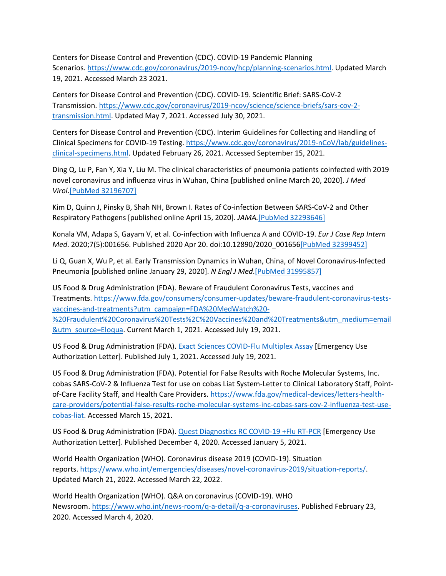Centers for Disease Control and Prevention (CDC). COVID-19 Pandemic Planning Scenarios. [https://www.cdc.gov/coronavirus/2019-ncov/hcp/planning-scenarios.html.](https://www.cdc.gov/coronavirus/2019-ncov/hcp/planning-scenarios.html) Updated March 19, 2021. Accessed March 23 2021.

Centers for Disease Control and Prevention (CDC). COVID-19. Scientific Brief: SARS-CoV-2 Transmission. [https://www.cdc.gov/coronavirus/2019-ncov/science/science-briefs/sars-cov-2](https://www.cdc.gov/coronavirus/2019-ncov/science/science-briefs/sars-cov-2-transmission.html) [transmission.html.](https://www.cdc.gov/coronavirus/2019-ncov/science/science-briefs/sars-cov-2-transmission.html) Updated May 7, 2021. Accessed July 30, 2021.

Centers for Disease Control and Prevention (CDC). Interim Guidelines for Collecting and Handling of Clinical Specimens for COVID-19 Testing. [https://www.cdc.gov/coronavirus/2019-nCoV/lab/guidelines](https://www.cdc.gov/coronavirus/2019-nCoV/lab/guidelines-clinical-specimens.html)[clinical-specimens.html.](https://www.cdc.gov/coronavirus/2019-nCoV/lab/guidelines-clinical-specimens.html) Updated February 26, 2021. Accessed September 15, 2021.

Ding Q, Lu P, Fan Y, Xia Y, Liu M. The clinical characteristics of pneumonia patients coinfected with 2019 novel coronavirus and influenza virus in Wuhan, China [published online March 20, 2020]. *J Med Virol*[.\[PubMed 32196707\]](https://www.ncbi.nlm.nih.gov/entrez/query.fcgi?cmd=Retrieve&db=pubmed&dopt=Abstract&list_uids=32196707)

Kim D, Quinn J, Pinsky B, Shah NH, Brown I. Rates of Co-infection Between SARS-CoV-2 and Other Respiratory Pathogens [published online April 15, 2020]. *JAMA.*[\[PubMed 32293646\]](https://www.ncbi.nlm.nih.gov/entrez/query.fcgi?cmd=Retrieve&db=pubmed&dopt=Abstract&list_uids=32293646)

Konala VM, Adapa S, Gayam V, et al. Co-infection with Influenza A and COVID-19. *Eur J Case Rep Intern Med*. 2020;7(5):001656. Published 2020 Apr 20. doi:10.12890/2020\_00165[6\[PubMed 32399452\]](https://www.ncbi.nlm.nih.gov/entrez/query.fcgi?cmd=Retrieve&db=pubmed&dopt=Abstract&list_uids=32399452)

Li Q, Guan X, Wu P, et al. Early Transmission Dynamics in Wuhan, China, of Novel Coronavirus-Infected Pneumonia [published online January 29, 2020]. *N Engl J Med*[.\[PubMed 31995857\]](https://www.ncbi.nlm.nih.gov/entrez/query.fcgi?cmd=Retrieve&db=pubmed&dopt=Abstract&list_uids=31995857)

US Food & Drug Administration (FDA). Beware of Fraudulent Coronavirus Tests, vaccines and Treatments. [https://www.fda.gov/consumers/consumer-updates/beware-fraudulent-coronavirus-tests](https://www.fda.gov/consumers/consumer-updates/beware-fraudulent-coronavirus-tests-vaccines-and-treatments?utm_campaign=FDA%20MedWatch%20-%20Fraudulent%20Coronavirus%20Tests%2C%20Vaccines%20and%20Treatments&utm_medium=email&utm_source=Eloqua)[vaccines-and-treatments?utm\\_campaign=FDA%20MedWatch%20-](https://www.fda.gov/consumers/consumer-updates/beware-fraudulent-coronavirus-tests-vaccines-and-treatments?utm_campaign=FDA%20MedWatch%20-%20Fraudulent%20Coronavirus%20Tests%2C%20Vaccines%20and%20Treatments&utm_medium=email&utm_source=Eloqua) [%20Fraudulent%20Coronavirus%20Tests%2C%20Vaccines%20and%20Treatments&utm\\_medium=email](https://www.fda.gov/consumers/consumer-updates/beware-fraudulent-coronavirus-tests-vaccines-and-treatments?utm_campaign=FDA%20MedWatch%20-%20Fraudulent%20Coronavirus%20Tests%2C%20Vaccines%20and%20Treatments&utm_medium=email&utm_source=Eloqua) [&utm\\_source=Eloqua.](https://www.fda.gov/consumers/consumer-updates/beware-fraudulent-coronavirus-tests-vaccines-and-treatments?utm_campaign=FDA%20MedWatch%20-%20Fraudulent%20Coronavirus%20Tests%2C%20Vaccines%20and%20Treatments&utm_medium=email&utm_source=Eloqua) Current March 1, 2021. Accessed July 19, 2021.

US Food & Drug Administration (FDA). [Exact Sciences COVID-Flu Multiplex Assay](https://www.fda.gov/media/150558/download) [Emergency Use Authorization Letter]. Published July 1, 2021. Accessed July 19, 2021.

US Food & Drug Administration (FDA). Potential for False Results with Roche Molecular Systems, Inc. cobas SARS-CoV-2 & Influenza Test for use on cobas Liat System-Letter to Clinical Laboratory Staff, Pointof-Care Facility Staff, and Health Care Providers. [https://www.fda.gov/medical-devices/letters-health](https://www.fda.gov/medical-devices/letters-health-care-providers/potential-false-results-roche-molecular-systems-inc-cobas-sars-cov-2-influenza-test-use-cobas-liat)[care-providers/potential-false-results-roche-molecular-systems-inc-cobas-sars-cov-2-influenza-test-use](https://www.fda.gov/medical-devices/letters-health-care-providers/potential-false-results-roche-molecular-systems-inc-cobas-sars-cov-2-influenza-test-use-cobas-liat)[cobas-liat.](https://www.fda.gov/medical-devices/letters-health-care-providers/potential-false-results-roche-molecular-systems-inc-cobas-sars-cov-2-influenza-test-use-cobas-liat) Accessed March 15, 2021.

US Food & Drug Administration (FDA). [Quest Diagnostics RC COVID-19 +Flu RT-PCR](https://www.fda.gov/media/144180/download) [Emergency Use Authorization Letter]. Published December 4, 2020. Accessed January 5, 2021.

World Health Organization (WHO). Coronavirus disease 2019 (COVID-19). Situation reports. [https://www.who.int/emergencies/diseases/novel-coronavirus-2019/situation-reports/.](https://www.who.int/emergencies/diseases/novel-coronavirus-2019/situation-reports/) Updated March 21, 2022. Accessed March 22, 2022.

World Health Organization (WHO). Q&A on coronavirus (COVID-19). WHO Newsroom. [https://www.who.int/news-room/q-a-detail/q-a-coronaviruses.](https://www.who.int/news-room/q-a-detail/q-a-coronaviruses) Published February 23, 2020. Accessed March 4, 2020.